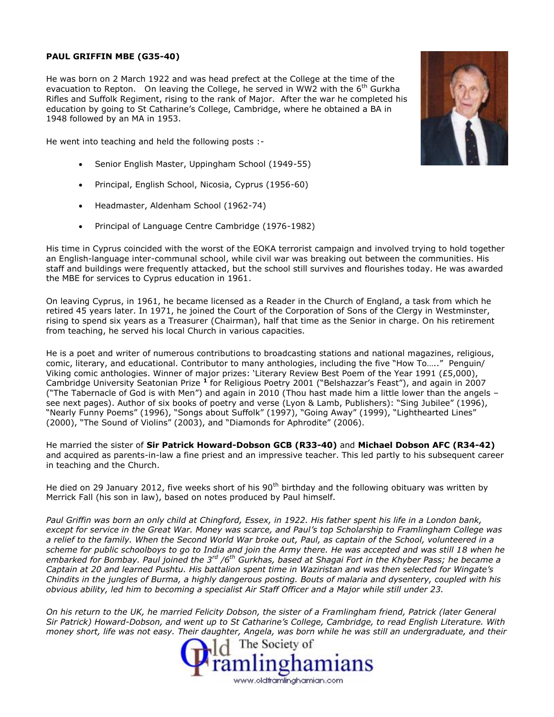## **PAUL GRIFFIN MBE (G35-40)**

He was born on 2 March 1922 and was head prefect at the College at the time of the evacuation to Repton. On leaving the College, he served in WW2 with the  $6^{th}$  Gurkha Rifles and Suffolk Regiment, rising to the rank of Major. After the war he completed his education by going to St Catharine's College, Cambridge, where he obtained a BA in 1948 followed by an MA in 1953.

He went into teaching and held the following posts :-

- Senior English Master, Uppingham School (1949-55)
- Principal, English School, Nicosia, Cyprus (1956-60)
- Headmaster, Aldenham School (1962-74)
- Principal of Language Centre Cambridge (1976-1982)

His time in Cyprus coincided with the worst of the EOKA terrorist campaign and involved trying to hold together an English-language inter-communal school, while civil war was breaking out between the communities. His staff and buildings were frequently attacked, but the school still survives and flourishes today. He was awarded the MBE for services to Cyprus education in 1961.

On leaving Cyprus, in 1961, he became licensed as a Reader in the Church of England, a task from which he retired 45 years later. In 1971, he joined the Court of the Corporation of Sons of the Clergy in Westminster, rising to spend six years as a Treasurer (Chairman), half that time as the Senior in charge. On his retirement from teaching, he served his local Church in various capacities.

He is a poet and writer of numerous contributions to broadcasting stations and national magazines, religious, comic, literary, and educational. Contributor to many anthologies, including the five "How To….." Penguin/ Viking comic anthologies. Winner of major prizes: 'Literary Review Best Poem of the Year 1991 (£5,000), Cambridge University Seatonian Prize **<sup>1</sup>** for Religious Poetry 2001 ("Belshazzar's Feast"), and again in 2007 ("The Tabernacle of God is with Men") and again in 2010 (Thou hast made him a little lower than the angels – see next pages). Author of six books of poetry and verse (Lyon & Lamb, Publishers): "Sing Jubilee" (1996), "Nearly Funny Poems" (1996), "Songs about Suffolk" (1997), "Going Away" (1999), "Lighthearted Lines" (2000), "The Sound of Violins" (2003), and "Diamonds for Aphrodite" (2006).

He married the sister of **Sir Patrick Howard-Dobson GCB (R33-40)** and **Michael Dobson AFC (R34-42)** and acquired as parents-in-law a fine priest and an impressive teacher. This led partly to his subsequent career in teaching and the Church.

He died on 29 January 2012, five weeks short of his 90<sup>th</sup> birthday and the following obituary was written by Merrick Fall (his son in law), based on notes produced by Paul himself.

*Paul Griffin was born an only child at Chingford, Essex, in 1922. His father spent his life in a London bank, except for service in the Great War. Money was scarce, and Paul's top Scholarship to Framlingham College was a relief to the family. When the Second World War broke out, Paul, as captain of the School, volunteered in a scheme for public schoolboys to go to India and join the Army there. He was accepted and was still 18 when he embarked for Bombay. Paul joined the 3rd /6th Gurkhas, based at Shagai Fort in the Khyber Pass; he became a Captain at 20 and learned Pushtu. His battalion spent time in Waziristan and was then selected for Wingate's Chindits in the jungles of Burma, a highly dangerous posting. Bouts of malaria and dysentery, coupled with his obvious ability, led him to becoming a specialist Air Staff Officer and a Major while still under 23.*

*On his return to the UK, he married Felicity Dobson, the sister of a Framlingham friend, Patrick (later General Sir Patrick) Howard-Dobson, and went up to St Catharine's College, Cambridge, to read English Literature. With money short, life was not easy. Their daughter, Angela, was born while he was still an undergraduate, and their*



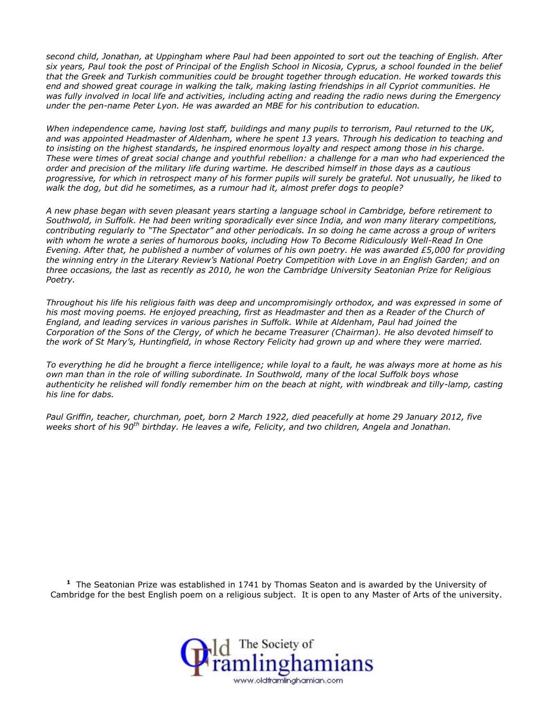*second child, Jonathan, at Uppingham where Paul had been appointed to sort out the teaching of English. After six years, Paul took the post of Principal of the English School in Nicosia, Cyprus, a school founded in the belief that the Greek and Turkish communities could be brought together through education. He worked towards this end and showed great courage in walking the talk, making lasting friendships in all Cypriot communities. He was fully involved in local life and activities, including acting and reading the radio news during the Emergency under the pen-name Peter Lyon. He was awarded an MBE for his contribution to education.*

*When independence came, having lost staff, buildings and many pupils to terrorism, Paul returned to the UK, and was appointed Headmaster of Aldenham, where he spent 13 years. Through his dedication to teaching and to insisting on the highest standards, he inspired enormous loyalty and respect among those in his charge. These were times of great social change and youthful rebellion: a challenge for a man who had experienced the order and precision of the military life during wartime. He described himself in those days as a cautious progressive, for which in retrospect many of his former pupils will surely be grateful. Not unusually, he liked to walk the dog, but did he sometimes, as a rumour had it, almost prefer dogs to people?*

*A new phase began with seven pleasant years starting a language school in Cambridge, before retirement to Southwold, in Suffolk. He had been writing sporadically ever since India, and won many literary competitions, contributing regularly to "The Spectator" and other periodicals. In so doing he came across a group of writers with whom he wrote a series of humorous books, including How To Become Ridiculously Well-Read In One Evening. After that, he published a number of volumes of his own poetry. He was awarded £5,000 for providing the winning entry in the Literary Review's National Poetry Competition with Love in an English Garden; and on three occasions, the last as recently as 2010, he won the Cambridge University Seatonian Prize for Religious Poetry.*

*Throughout his life his religious faith was deep and uncompromisingly orthodox, and was expressed in some of his most moving poems. He enjoyed preaching, first as Headmaster and then as a Reader of the Church of England, and leading services in various parishes in Suffolk. While at Aldenham, Paul had joined the Corporation of the Sons of the Clergy, of which he became Treasurer (Chairman). He also devoted himself to the work of St Mary's, Huntingfield, in whose Rectory Felicity had grown up and where they were married.*

*To everything he did he brought a fierce intelligence; while loyal to a fault, he was always more at home as his own man than in the role of willing subordinate. In Southwold, many of the local Suffolk boys whose authenticity he relished will fondly remember him on the beach at night, with windbreak and tilly-lamp, casting his line for dabs.*

*Paul Griffin, teacher, churchman, poet, born 2 March 1922, died peacefully at home 29 January 2012, five weeks short of his 90th birthday. He leaves a wife, Felicity, and two children, Angela and Jonathan.*

**<sup>1</sup>** The Seatonian Prize was established in 1741 by Thomas Seaton and is awarded by the University of Cambridge for the best English poem on a religious subject. It is open to any Master of Arts of the university.

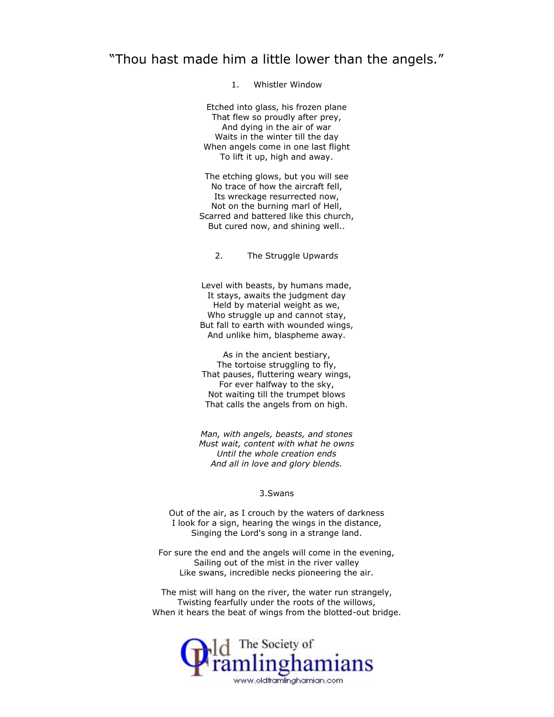# "Thou hast made him a little lower than the angels."

### 1. Whistler Window

Etched into glass, his frozen plane That flew so proudly after prey, And dying in the air of war Waits in the winter till the day When angels come in one last flight To lift it up, high and away.

The etching glows, but you will see No trace of how the aircraft fell, Its wreckage resurrected now, Not on the burning marl of Hell, Scarred and battered like this church, But cured now, and shining well..

2. The Struggle Upwards

Level with beasts, by humans made, It stays, awaits the judgment day Held by material weight as we, Who struggle up and cannot stay, But fall to earth with wounded wings, And unlike him, blaspheme away.

As in the ancient bestiary, The tortoise struggling to fly, That pauses, fluttering weary wings, For ever halfway to the sky, Not waiting till the trumpet blows That calls the angels from on high.

*Man, with angels, beasts, and stones Must wait, content with what he owns Until the whole creation ends And all in love and glory blends.*

### 3.Swans

Out of the air, as I crouch by the waters of darkness I look for a sign, hearing the wings in the distance, Singing the Lord's song in a strange land.

For sure the end and the angels will come in the evening, Sailing out of the mist in the river valley Like swans, incredible necks pioneering the air.

The mist will hang on the river, the water run strangely, Twisting fearfully under the roots of the willows, When it hears the beat of wings from the blotted-out bridge.